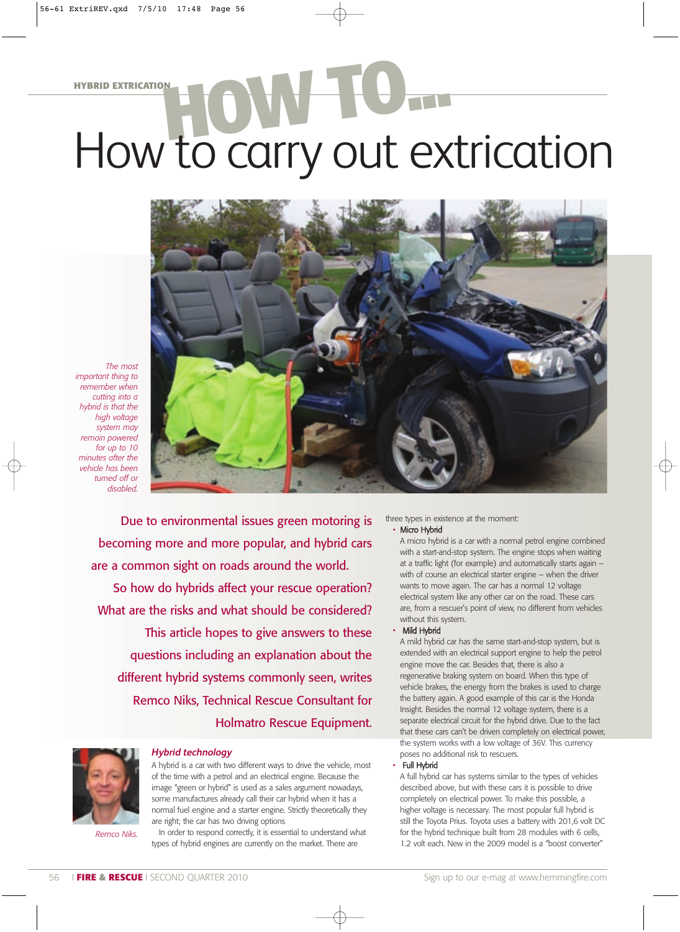# **HYBRID EXTRICATION** How to carry out extrication



*The most important thing to remember when cutting into a hybrid is that the high voltage system may remain powered for up to 10 minutes after the vehicle has been turned off or disabled.* 

> Due to environmental issues green motoring is becoming more and more popular, and hybrid cars are a common sight on roads around the world.

So how do hybrids affect your rescue operation? What are the risks and what should be considered?

This article hopes to give answers to these questions including an explanation about the different hybrid systems commonly seen, writes Remco Niks, Technical Rescue Consultant for Holmatro Rescue Equipment.

*Hybrid technology*

are right; the car has two driving options



*Remco Niks.*

In order to respond correctly, it is essential to understand what types of hybrid engines are currently on the market. There are

A hybrid is a car with two different ways to drive the vehicle, most of the time with a petrol and an electrical engine. Because the image "green or hybrid" is used as a sales argument nowadays, some manufactures already call their car hybrid when it has a normal fuel engine and a starter engine. Strictly theoretically they

three types in existence at the moment: Micro Hybrid

> A micro hybrid is a car with a normal petrol engine combined with a start-and-stop system. The engine stops when waiting at a traffic light (for example) and automatically starts again – with of course an electrical starter engine – when the driver wants to move again. The car has a normal 12 voltage electrical system like any other car on the road. These cars are, from a rescuer's point of view, no different from vehicles without this system.

#### • Mild Hybrid

A mild hybrid car has the same start-and-stop system, but is extended with an electrical support engine to help the petrol engine move the car. Besides that, there is also a regenerative braking system on board. When this type of vehicle brakes, the energy from the brakes is used to charge the battery again. A good example of this car is the Honda Insight. Besides the normal 12 voltage system, there is a separate electrical circuit for the hybrid drive. Due to the fact that these cars can't be driven completely on electrical power, the system works with a low voltage of 36V. This currency poses no additional risk to rescuers.

#### • Full Hybrid

A full hybrid car has systems similar to the types of vehicles described above, but with these cars it is possible to drive completely on electrical power. To make this possible, a higher voltage is necessary. The most popular full hybrid is still the Toyota Prius. Toyota uses a battery with 201,6 volt DC for the hybrid technique built from 28 modules with 6 cells, 1.2 volt each. New in the 2009 model is a "boost converter"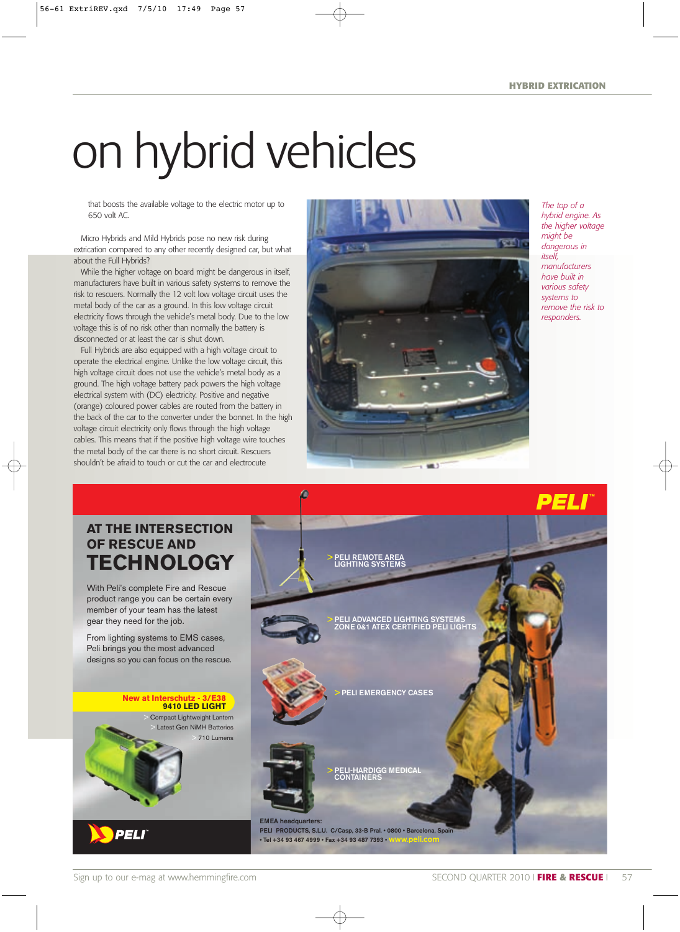## on hybrid vehicles

that boosts the available voltage to the electric motor up to 650 volt AC.

Micro Hybrids and Mild Hybrids pose no new risk during extrication compared to any other recently designed car, but what about the Full Hybrids?

While the higher voltage on board might be dangerous in itself, manufacturers have built in various safety systems to remove the risk to rescuers. Normally the 12 volt low voltage circuit uses the metal body of the car as a ground. In this low voltage circuit electricity flows through the vehicle's metal body. Due to the low voltage this is of no risk other than normally the battery is disconnected or at least the car is shut down.

Full Hybrids are also equipped with a high voltage circuit to operate the electrical engine. Unlike the low voltage circuit, this high voltage circuit does not use the vehicle's metal body as a ground. The high voltage battery pack powers the high voltage electrical system with (DC) electricity. Positive and negative (orange) coloured power cables are routed from the battery in the back of the car to the converter under the bonnet. In the high voltage circuit electricity only flows through the high voltage cables. This means that if the positive high voltage wire touches the metal body of the car there is no short circuit. Rescuers shouldn't be afraid to touch or cut the car and electrocute



*The top of a hybrid engine. As the higher voltage might be dangerous in itself, manufacturers have built in various safety systems to remove the risk to responders.*

## **AT THE INTERSECTION OF RESCUE AND TECHNOLOGY**

With Peli's complete Fire and Rescue product range you can be certain every member of your team has the latest gear they need for the job.

From lighting systems to EMS cases, Peli brings you the most advanced designs so you can focus on the rescue.